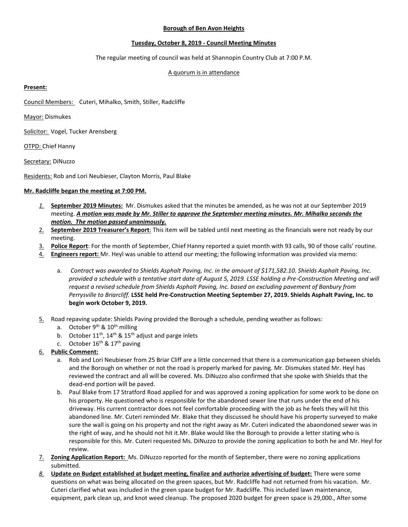## **Borough of Ben Avon Heights**

# **Tuesday, October 8, 2019 - Council Meeting Minutes**

The regular meeting of council was held at Shannopin Country Club at 7:00 P.M.

# A quorum is in attendance

### **Present:**

Council Members: Cuteri, Mihalko, Smith, Stiller, Radcliffe

Mayor: Dismukes

Solicitor: Vogel, Tucker Arensberg

OTPD: Chief Hanny

Secretary: DiNuzzo

Residents: Rob and Lori Neubieser, Clayton Morris, Paul Blake

### **Mr. Radcliffe began the meeting at 7:00 PM.**

- *1.* **September 2019 Minutes:** Mr. Dismukes asked that the minutes be amended, as he was not at our September 2019 meeting. *A motion was made by Mr. Stiller to approve the September meeting minutes. Mr. Mihalko seconds the motion. The motion passed unanimously.*
- 2. **September 2019 Treasurer's Report**: This item will be tabled until next meeting as the financials were not ready by our meeting.
- 3. **Police Report**: For the month of September, Chief Hanny reported a quiet month with 93 calls, 90 of those calls' routine.
- 4. **Engineers report:** Mr. Heyl was unable to attend our meeting; the following information was provided via memo:
	- a. *Contract was awarded to Shields Asphalt Paving, Inc. in the amount of \$171,582.10. Shields Asphalt Paving, Inc. provided a schedule with a tentative start date of August 5, 2019. LSSE holding a Pre-Construction Meeting and will request a revised schedule from Shields Asphalt Paving, Inc. based on excluding pavement of Banbury from Perrysville to Briarcliff.* **LSSE held Pre-Construction Meeting September 27, 2019. Shields Asphalt Paving, Inc. to begin work October 9, 2019.**
- 5. Road repaving update: Shields Paving provided the Borough a schedule, pending weather as follows:
	- a. October  $9^{th}$  &  $10^{th}$  milling
	- b. October  $11<sup>th</sup>$ ,  $14<sup>th</sup>$  &  $15<sup>th</sup>$  adjust and parge inlets
	- c. October  $16<sup>th</sup>$  &  $17<sup>th</sup>$  paving
- 6. **Public Comment:**
	- a. Rob and Lori Neubieser from 25 Briar Cliff are a little concerned that there is a communication gap between shields and the Borough on whether or not the road is properly marked for paving. Mr. Dismukes stated Mr. Heyl has reviewed the contract and all will be covered. Ms. DiNuzzo also confirmed that she spoke with Shields that the dead-end portion will be paved.
	- b. Paul Blake from 17 Stratford Road applied for and was approved a zoning application for some work to be done on his property. He questioned who is responsible for the abandoned sewer line that runs under the end of his driveway. His current contractor does not feel comfortable proceeding with the job as he feels they will hit this abandoned line. Mr. Cuteri reminded Mr. Blake that they discussed he should have his property surveyed to make sure the wall is going on his property and not the right away as Mr. Cuteri indicated the abaondoned sewer was in the right of way, and he should not hit it.Mr. Blake would like the Borough to provide a letter stating who is responsible for this. Mr. Cuteri requested Ms. DiNuzzo to provide the zoning application to both he and Mr. Heyl for review.
- 7. **Zoning Application Report:** Ms. DiNuzzo reported for the month of September, there were no zoning applications submitted.
- *8.* **Update on Budget established at budget meeting, finalize and authorize advertising of budget:** There were some questions on what was being allocated on the green spaces, but Mr. Radcliffe had not returned from his vacation. Mr. Cuteri clarified what was included in the green space budget for Mr. Radcliffe. This included lawn maintenance, equipment, park clean up, and knot weed cleanup. The proposed 2020 budget for green space is 29,000., After some